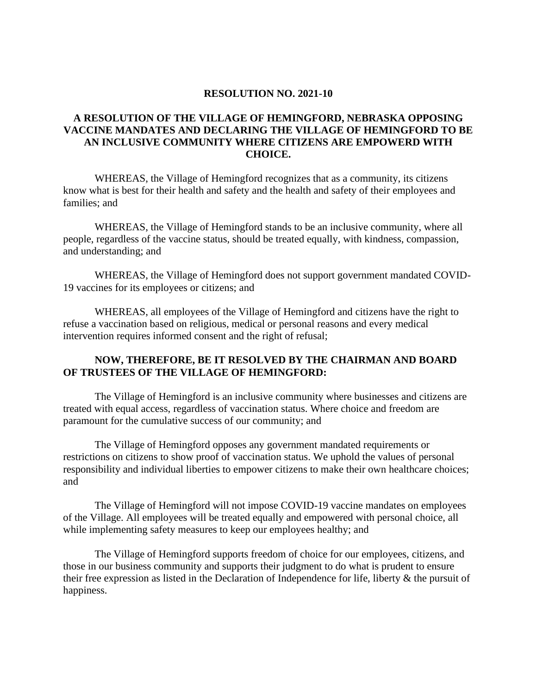## **RESOLUTION NO. 2021-10**

## **A RESOLUTION OF THE VILLAGE OF HEMINGFORD, NEBRASKA OPPOSING VACCINE MANDATES AND DECLARING THE VILLAGE OF HEMINGFORD TO BE AN INCLUSIVE COMMUNITY WHERE CITIZENS ARE EMPOWERD WITH CHOICE.**

WHEREAS, the Village of Hemingford recognizes that as a community, its citizens know what is best for their health and safety and the health and safety of their employees and families; and

WHEREAS, the Village of Hemingford stands to be an inclusive community, where all people, regardless of the vaccine status, should be treated equally, with kindness, compassion, and understanding; and

WHEREAS, the Village of Hemingford does not support government mandated COVID-19 vaccines for its employees or citizens; and

WHEREAS, all employees of the Village of Hemingford and citizens have the right to refuse a vaccination based on religious, medical or personal reasons and every medical intervention requires informed consent and the right of refusal;

## **NOW, THEREFORE, BE IT RESOLVED BY THE CHAIRMAN AND BOARD OF TRUSTEES OF THE VILLAGE OF HEMINGFORD:**

The Village of Hemingford is an inclusive community where businesses and citizens are treated with equal access, regardless of vaccination status. Where choice and freedom are paramount for the cumulative success of our community; and

The Village of Hemingford opposes any government mandated requirements or restrictions on citizens to show proof of vaccination status. We uphold the values of personal responsibility and individual liberties to empower citizens to make their own healthcare choices; and

The Village of Hemingford will not impose COVID-19 vaccine mandates on employees of the Village. All employees will be treated equally and empowered with personal choice, all while implementing safety measures to keep our employees healthy; and

The Village of Hemingford supports freedom of choice for our employees, citizens, and those in our business community and supports their judgment to do what is prudent to ensure their free expression as listed in the Declaration of Independence for life, liberty & the pursuit of happiness.